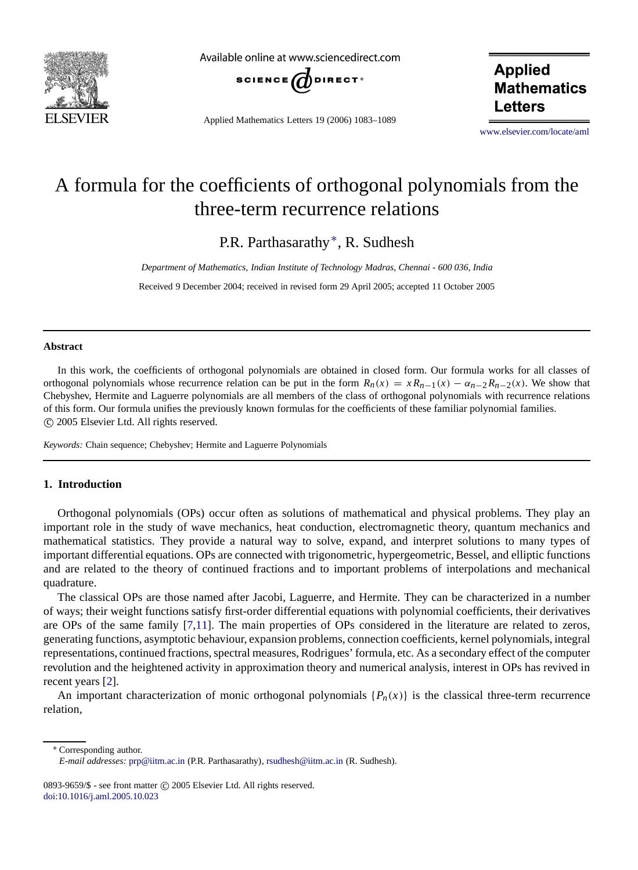

Available online at www.sciencedirect.com



Applied Mathematics Letters 19 (2006) 1083–1089

**Applied Mathematics** Letters

[www.elsevier.com/locate/aml](http://www.elsevier.com/locate/aml)

# A formula for the coefficients of orthogonal polynomials from the three-term recurrence relations

P.R. Parthasarathy[∗](#page-0-0), R. Sudhesh

*Department of Mathematics, Indian Institute of Technology Madras, Chennai - 600 036, India*

Received 9 December 2004; received in revised form 29 April 2005; accepted 11 October 2005

# **Abstract**

In this work, the coefficients of orthogonal polynomials are obtained in closed form. Our formula works for all classes of orthogonal polynomials whose recurrence relation can be put in the form  $R_n(x) = xR_{n-1}(x) - \alpha_{n-2}R_{n-2}(x)$ . We show that Chebyshev, Hermite and Laguerre polynomials are all members of the class of orthogonal polynomials with recurrence relations of this form. Our formula unifies the previously known formulas for the coefficients of these familiar polynomial families.  $©$  2005 Elsevier Ltd. All rights reserved.

*Keywords:* Chain sequence; Chebyshev; Hermite and Laguerre Polynomials

# **1. Introduction**

Orthogonal polynomials (OPs) occur often as solutions of mathematical and physical problems. They play an important role in the study of wave mechanics, heat conduction, electromagnetic theory, quantum mechanics and mathematical statistics. They provide a natural way to solve, expand, and interpret solutions to many types of important differential equations. OPs are connected with trigonometric, hypergeometric, Bessel, and elliptic functions and are related to the theory of continued fractions and to important problems of interpolations and mechanical quadrature.

The classical OPs are those named after Jacobi, Laguerre, and Hermite. They can be characterized in a number of ways; their weight functions satisfy first-order differential equations with polynomial coefficients, their derivatives are OPs of the same family [\[7,](#page-5-0)[11\]](#page-6-0). The main properties of OPs considered in the literature are related to zeros, generating functions, asymptotic behaviour, expansion problems, connection coefficients, kernel polynomials, integral representations, continued fractions, spectral measures, Rodrigues' formula, etc. As a secondary effect of the computer revolution and the heightened activity in approximation theory and numerical analysis, interest in OPs has revived in recent years [\[2\]](#page-5-1).

An important characterization of monic orthogonal polynomials  $\{P_n(x)\}\$ is the classical three-term recurrence relation,

<sup>∗</sup> Corresponding author.

<span id="page-0-0"></span>0893-9659/\$ - see front matter  $\odot$  2005 Elsevier Ltd. All rights reserved. [doi:10.1016/j.aml.2005.10.023](http://dx.doi.org/10.1016/j.aml.2005.10.023)

*E-mail addresses:* [prp@iitm.ac.in](mailto:prp@iitm.ac.in) (P.R. Parthasarathy), [rsudhesh@iitm.ac.in](mailto:rsudhesh@iitm.ac.in) (R. Sudhesh).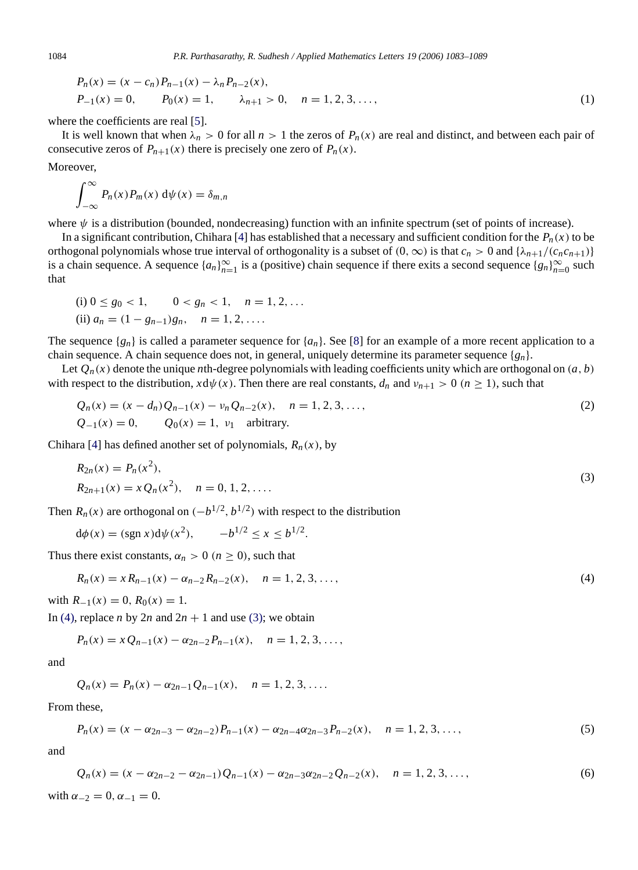<span id="page-1-2"></span>
$$
P_n(x) = (x - c_n)P_{n-1}(x) - \lambda_n P_{n-2}(x),
$$
  
\n
$$
P_{-1}(x) = 0, \qquad P_0(x) = 1, \qquad \lambda_{n+1} > 0, \quad n = 1, 2, 3, \dots,
$$
 (1)

where the coefficients are real [\[5\]](#page-5-2).

It is well known that when  $\lambda_n > 0$  for all  $n > 1$  the zeros of  $P_n(x)$  are real and distinct, and between each pair of consecutive zeros of  $P_{n+1}(x)$  there is precisely one zero of  $P_n(x)$ .

Moreover,

$$
\int_{-\infty}^{\infty} P_n(x) P_m(x) \, \mathrm{d}\psi(x) = \delta_{m,n}
$$

where  $\psi$  is a distribution (bounded, nondecreasing) function with an infinite spectrum (set of points of increase).

In a significant contribution, Chihara [\[4\]](#page-5-3) has established that a necessary and sufficient condition for the  $P_n(x)$  to be orthogonal polynomials whose true interval of orthogonality is a subset of  $(0, \infty)$  is that  $c_n > 0$  and  $\{\lambda_{n+1}/(c_n c_{n+1})\}$ is a chain sequence. A sequence  $\{a_n\}_{n=1}^{\infty}$  is a (positive) chain sequence if there exits a second sequence  $\{g_n\}_{n=0}^{\infty}$  such that

(i) 
$$
0 \le g_0 < 1
$$
,  $0 < g_n < 1$ ,  $n = 1, 2, ...$   
(ii)  $a_n = (1 - g_{n-1})g_n$ ,  $n = 1, 2, ...$ 

The sequence  $\{g_n\}$  is called a parameter sequence for  $\{a_n\}$ . See [\[8\]](#page-5-4) for an example of a more recent application to a chain sequence. A chain sequence does not, in general, uniquely determine its parameter sequence {*gn*}.

Let  $Q_n(x)$  denote the unique *n*th-degree polynomials with leading coefficients unity which are orthogonal on  $(a, b)$ with respect to the distribution,  $x d\psi(x)$ . Then there are real constants,  $d_n$  and  $v_{n+1} > 0$  ( $n \ge 1$ ), such that

<span id="page-1-3"></span>
$$
Q_n(x) = (x - d_n)Q_{n-1}(x) - \nu_n Q_{n-2}(x), \quad n = 1, 2, 3, ...
$$
  
\n
$$
Q_{-1}(x) = 0, \qquad Q_0(x) = 1, \ \nu_1 \quad \text{arbitrary.}
$$
\n(2)

Chihara [\[4\]](#page-5-3) has defined another set of polynomials,  $R_n(x)$ , by

<span id="page-1-1"></span>
$$
R_{2n}(x) = P_n(x^2),
$$
  
\n
$$
R_{2n+1}(x) = x Q_n(x^2), \quad n = 0, 1, 2, ....
$$
\n(3)

Then  $R_n(x)$  are orthogonal on  $(-b^{1/2}, b^{1/2})$  with respect to the distribution

$$
d\phi(x) = (sgn x)d\psi(x^2), \quad -b^{1/2} \le x \le b^{1/2}.
$$

Thus there exist constants,  $\alpha_n > 0$  ( $n \ge 0$ ), such that

<span id="page-1-0"></span>
$$
R_n(x) = x R_{n-1}(x) - \alpha_{n-2} R_{n-2}(x), \quad n = 1, 2, 3, \dots,
$$
\n(4)

with  $R_{-1}(x) = 0$ ,  $R_0(x) = 1$ .

In [\(4\),](#page-1-0) replace *n* by 2*n* and  $2n + 1$  and use [\(3\);](#page-1-1) we obtain

$$
P_n(x) = x Q_{n-1}(x) - \alpha_{2n-2} P_{n-1}(x), \quad n = 1, 2, 3, \dots,
$$

and

$$
Q_n(x) = P_n(x) - \alpha_{2n-1} Q_{n-1}(x), \quad n = 1, 2, 3, ....
$$

From these,

<span id="page-1-5"></span><span id="page-1-4"></span>
$$
P_n(x) = (x - \alpha_{2n-3} - \alpha_{2n-2})P_{n-1}(x) - \alpha_{2n-4}\alpha_{2n-3}P_{n-2}(x), \quad n = 1, 2, 3, ..., \tag{5}
$$

and

$$
Q_n(x) = (x - \alpha_{2n-2} - \alpha_{2n-1})Q_{n-1}(x) - \alpha_{2n-3}\alpha_{2n-2}Q_{n-2}(x), \quad n = 1, 2, 3, \dots,
$$
  
\nwith  $\alpha_{-2} = 0, \alpha_{-1} = 0.$  (6)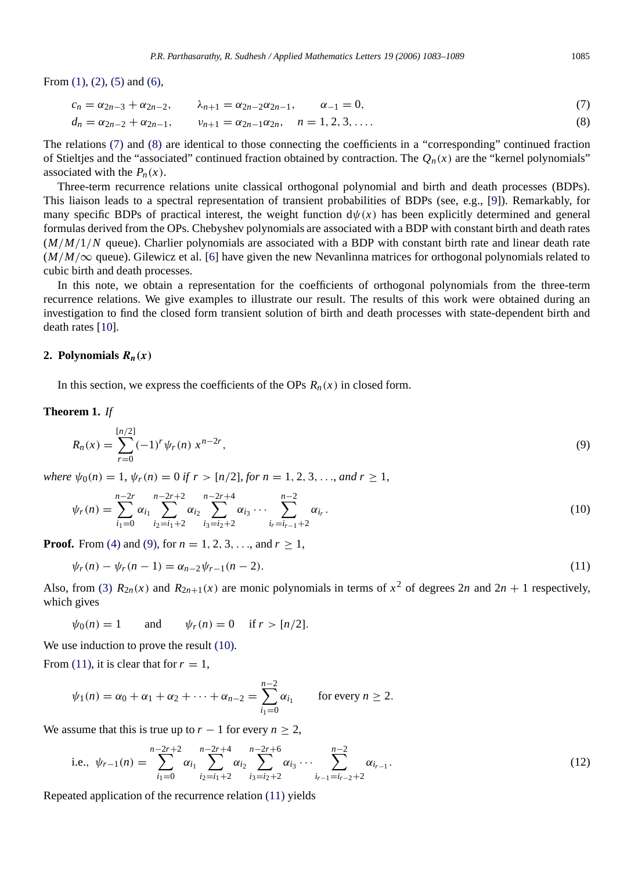From  $(1)$ ,  $(2)$ ,  $(5)$  and  $(6)$ ,

<span id="page-2-0"></span>
$$
c_n = \alpha_{2n-3} + \alpha_{2n-2}, \qquad \lambda_{n+1} = \alpha_{2n-2}\alpha_{2n-1}, \qquad \alpha_{-1} = 0, \tag{7}
$$

<span id="page-2-1"></span>
$$
d_n = \alpha_{2n-2} + \alpha_{2n-1}, \qquad \nu_{n+1} = \alpha_{2n-1}\alpha_{2n}, \qquad n = 1, 2, 3, \dots
$$
 (8)

The relations [\(7\)](#page-2-0) and [\(8\)](#page-2-1) are identical to those connecting the coefficients in a "corresponding" continued fraction of Stieltjes and the "associated" continued fraction obtained by contraction. The  $Q_n(x)$  are the "kernel polynomials" associated with the  $P_n(x)$ .

Three-term recurrence relations unite classical orthogonal polynomial and birth and death processes (BDPs). This liaison leads to a spectral representation of transient probabilities of BDPs (see, e.g., [\[9\]](#page-5-5)). Remarkably, for many specific BDPs of practical interest, the weight function  $d\psi(x)$  has been explicitly determined and general formulas derived from the OPs. Chebyshev polynomials are associated with a BDP with constant birth and death rates (*M*/*M*/1/*N* queue). Charlier polynomials are associated with a BDP with constant birth rate and linear death rate  $(M/M/\infty)$  queue). Gilewicz et al. [\[6\]](#page-5-6) have given the new Nevanlinna matrices for orthogonal polynomials related to cubic birth and death processes.

In this note, we obtain a representation for the coefficients of orthogonal polynomials from the three-term recurrence relations. We give examples to illustrate our result. The results of this work were obtained during an investigation to find the closed form transient solution of birth and death processes with state-dependent birth and death rates [\[10\]](#page-6-1).

## 2. Polynomials  $R_n(x)$

In this section, we express the coefficients of the OPs  $R_n(x)$  in closed form.

#### **Theorem 1.** *If*

<span id="page-2-2"></span>
$$
R_n(x) = \sum_{r=0}^{[n/2]} (-1)^r \psi_r(n) x^{n-2r},
$$
\n(9)

*where*  $\psi_0(n) = 1$ ,  $\psi_r(n) = 0$  *if*  $r > [n/2]$ *, for*  $n = 1, 2, 3, \ldots$ *, and*  $r \ge 1$ *,* 

<span id="page-2-3"></span>
$$
\psi_r(n) = \sum_{i_1=0}^{n-2r} \alpha_{i_1} \sum_{i_2=i_1+2}^{n-2r+2} \alpha_{i_2} \sum_{i_3=i_2+2}^{n-2r+4} \alpha_{i_3} \cdots \sum_{i_r=i_{r-1}+2}^{n-2} \alpha_{i_r}.
$$
\n(10)

**Proof.** From [\(4\)](#page-1-0) and [\(9\),](#page-2-2) for  $n = 1, 2, 3, \ldots$ , and  $r > 1$ ,

<span id="page-2-4"></span>
$$
\psi_r(n) - \psi_r(n-1) = \alpha_{n-2}\psi_{r-1}(n-2). \tag{11}
$$

Also, from [\(3\)](#page-1-1)  $R_{2n}(x)$  and  $R_{2n+1}(x)$  are monic polynomials in terms of  $x^2$  of degrees 2*n* and 2*n* + 1 respectively, which gives

 $\psi_0(n) = 1$  and  $\psi_r(n) = 0$  if  $r > [n/2]$ .

We use induction to prove the result  $(10)$ .

From [\(11\),](#page-2-4) it is clear that for  $r = 1$ ,

$$
\psi_1(n) = \alpha_0 + \alpha_1 + \alpha_2 + \cdots + \alpha_{n-2} = \sum_{i_1=0}^{n-2} \alpha_{i_1} \qquad \text{for every } n \ge 2.
$$

We assume that this is true up to  $r - 1$  for every  $n \geq 2$ ,

<span id="page-2-5"></span>i.e., 
$$
\psi_{r-1}(n) = \sum_{i_1=0}^{n-2r+2} \alpha_{i_1} \sum_{i_2=i_1+2}^{n-2r+4} \alpha_{i_2} \sum_{i_3=i_2+2}^{n-2r+6} \alpha_{i_3} \cdots \sum_{i_{r-1}=i_{r-2}+2}^{n-2} \alpha_{i_{r-1}}.
$$
 (12)

Repeated application of the recurrence relation [\(11\)](#page-2-4) yields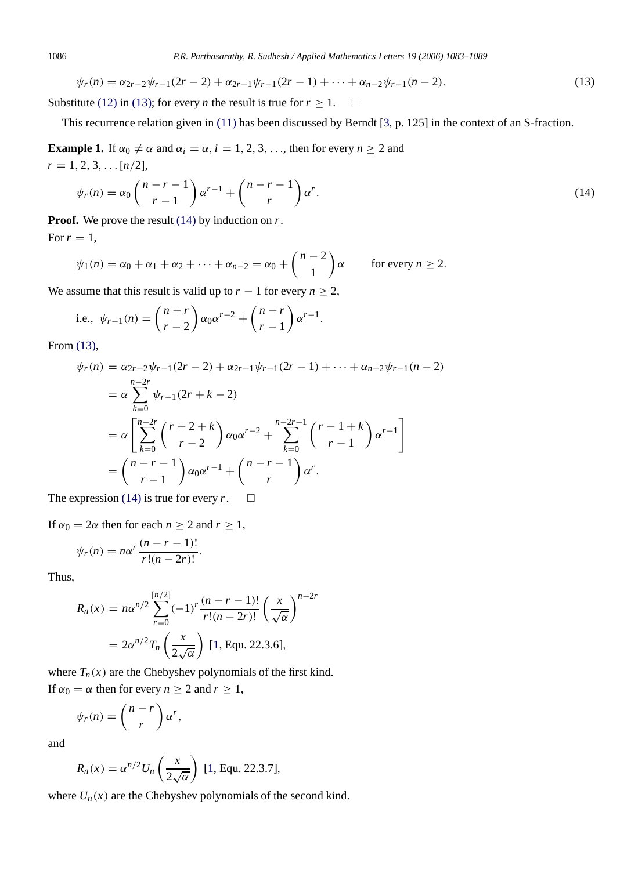<span id="page-3-0"></span>
$$
\psi_r(n) = \alpha_{2r-2}\psi_{r-1}(2r-2) + \alpha_{2r-1}\psi_{r-1}(2r-1) + \dots + \alpha_{n-2}\psi_{r-1}(n-2). \tag{13}
$$

Substitute [\(12\)](#page-2-5) in [\(13\);](#page-3-0) for every *n* the result is true for  $r \ge 1$ .  $\Box$ 

This recurrence relation given in [\(11\)](#page-2-4) has been discussed by Berndt [\[3,](#page-5-7) p. 125] in the context of an S-fraction.

**Example 1.** If  $\alpha_0 \neq \alpha$  and  $\alpha_i = \alpha$ ,  $i = 1, 2, 3, \ldots$ , then for every  $n \geq 2$  and  $r = 1, 2, 3, \ldots [n/2],$ 

<span id="page-3-1"></span>
$$
\psi_r(n) = \alpha_0 \binom{n-r-1}{r-1} \alpha^{r-1} + \binom{n-r-1}{r} \alpha^r.
$$
\n(14)

**Proof.** We prove the result [\(14\)](#page-3-1) by induction on *r*. For  $r=1$ ,

$$
\psi_1(n) = \alpha_0 + \alpha_1 + \alpha_2 + \cdots + \alpha_{n-2} = \alpha_0 + \binom{n-2}{1} \alpha \quad \text{for every } n \geq 2.
$$

We assume that this result is valid up to  $r - 1$  for every  $n \ge 2$ ,

i.e., 
$$
\psi_{r-1}(n) = {n-r \choose r-2} \alpha_0 \alpha^{r-2} + {n-r \choose r-1} \alpha^{r-1}
$$
.

From [\(13\),](#page-3-0)

$$
\psi_r(n) = \alpha_{2r-2}\psi_{r-1}(2r-2) + \alpha_{2r-1}\psi_{r-1}(2r-1) + \dots + \alpha_{n-2}\psi_{r-1}(n-2)
$$
  
=  $\alpha \sum_{k=0}^{n-2r} \psi_{r-1}(2r+k-2)$   
=  $\alpha \left[ \sum_{k=0}^{n-2r} {r-2+k \choose r-2} \alpha_0 \alpha^{r-2} + \sum_{k=0}^{n-2r-1} {r-1+k \choose r-1} \alpha^{r-1} \right]$   
=  ${n-r-1 \choose r-1} \alpha_0 \alpha^{r-1} + {n-r-1 \choose r} \alpha^r.$ 

The expression [\(14\)](#page-3-1) is true for every  $r$ .  $\square$ 

If  $\alpha_0 = 2\alpha$  then for each  $n \ge 2$  and  $r \ge 1$ ,

$$
\psi_r(n) = n\alpha^r \frac{(n-r-1)!}{r!(n-2r)!}.
$$

Thus,

$$
R_n(x) = n\alpha^{n/2} \sum_{r=0}^{\lfloor n/2 \rfloor} (-1)^r \frac{(n-r-1)!}{r!(n-2r)!} \left(\frac{x}{\sqrt{\alpha}}\right)^{n-2r}
$$

$$
= 2\alpha^{n/2} T_n \left(\frac{x}{2\sqrt{\alpha}}\right) [1, \text{Equ. 22.3.6}],
$$

where  $T_n(x)$  are the Chebyshev polynomials of the first kind. If  $\alpha_0 = \alpha$  then for every  $n \ge 2$  and  $r \ge 1$ ,

$$
\psi_r(n) = \binom{n-r}{r} \alpha^r,
$$

and

$$
R_n(x) = \alpha^{n/2} U_n\left(\frac{x}{2\sqrt{\alpha}}\right)
$$
 [1, Equ. 22.3.7],

where  $U_n(x)$  are the Chebyshev polynomials of the second kind.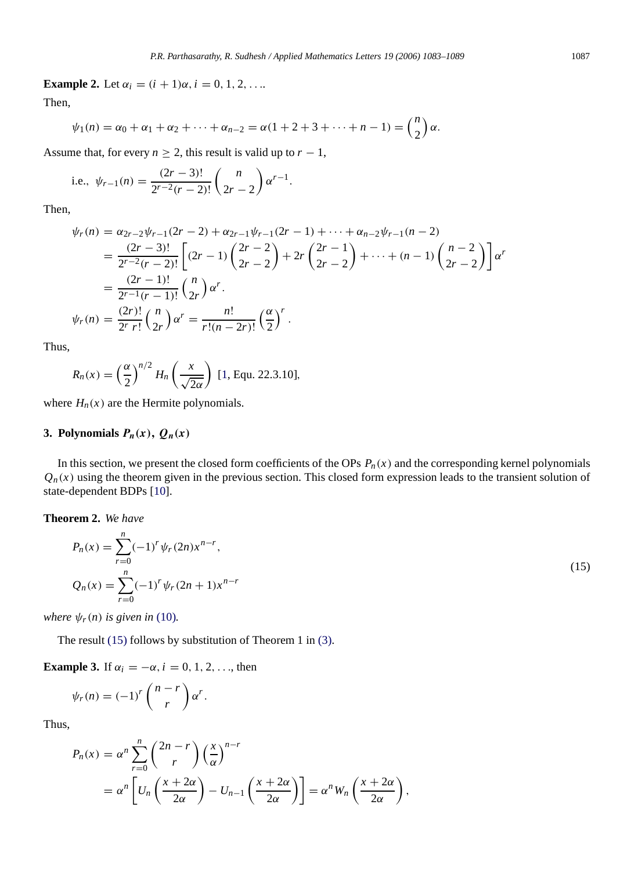**Example 2.** Let  $\alpha_i = (i + 1)\alpha, i = 0, 1, 2, \ldots$ 

Then,

$$
\psi_1(n) = \alpha_0 + \alpha_1 + \alpha_2 + \dots + \alpha_{n-2} = \alpha(1 + 2 + 3 + \dots + n - 1) = {n \choose 2} \alpha
$$

Assume that, for every  $n \geq 2$ , this result is valid up to  $r - 1$ ,

i.e., 
$$
\psi_{r-1}(n) = \frac{(2r-3)!}{2^{r-2}(r-2)!} {n \choose 2r-2} \alpha^{r-1}.
$$

Then,

$$
\psi_r(n) = \alpha_{2r-2}\psi_{r-1}(2r-2) + \alpha_{2r-1}\psi_{r-1}(2r-1) + \dots + \alpha_{n-2}\psi_{r-1}(n-2)
$$
  
= 
$$
\frac{(2r-3)!}{2^{r-2}(r-2)!} \left[ (2r-1) \binom{2r-2}{2r-2} + 2r \binom{2r-1}{2r-2} + \dots + (n-1) \binom{n-2}{2r-2} \right] \alpha^r
$$
  
= 
$$
\frac{(2r-1)!}{2^{r-1}(r-1)!} \binom{n}{2r} \alpha^r.
$$
  

$$
\psi_r(n) = \frac{(2r)!}{2^r r!} \binom{n}{2r} \alpha^r = \frac{n!}{r!(n-2r)!} \left( \frac{\alpha}{2} \right)^r.
$$

Thus,

$$
R_n(x) = \left(\frac{\alpha}{2}\right)^{n/2} H_n\left(\frac{x}{\sqrt{2\alpha}}\right)
$$
 [1, Equ. 22.3.10],

where  $H_n(x)$  are the Hermite polynomials.

# **3. Polynomials**  $P_n(x)$ ,  $Q_n(x)$

<span id="page-4-0"></span>*n*

In this section, we present the closed form coefficients of the OPs  $P_n(x)$  and the corresponding kernel polynomials  $Q_n(x)$  using the theorem given in the previous section. This closed form expression leads to the transient solution of state-dependent BDPs [\[10\]](#page-6-1).

## **Theorem 2.** *We have*

$$
P_n(x) = \sum_{r=0}^n (-1)^r \psi_r(2n) x^{n-r},
$$
  
\n
$$
Q_n(x) = \sum_{r=0}^n (-1)^r \psi_r(2n+1) x^{n-r}
$$
\n(15)

*where*  $\psi_r(n)$  *is given in* [\(10\)](#page-2-3)*.* 

The result [\(15\)](#page-4-0) follows by substitution of Theorem 1 in [\(3\).](#page-1-1)

**Example 3.** If  $\alpha_i = -\alpha$ ,  $i = 0, 1, 2, \ldots$ , then

$$
\psi_r(n) = (-1)^r \binom{n-r}{r} \alpha^r.
$$

Thus,

$$
P_n(x) = \alpha^n \sum_{r=0}^n {2n-r \choose r} \left(\frac{x}{\alpha}\right)^{n-r}
$$
  
=  $\alpha^n \left[ U_n \left(\frac{x+2\alpha}{2\alpha}\right) - U_{n-1} \left(\frac{x+2\alpha}{2\alpha}\right) \right] = \alpha^n W_n \left(\frac{x+2\alpha}{2\alpha}\right),$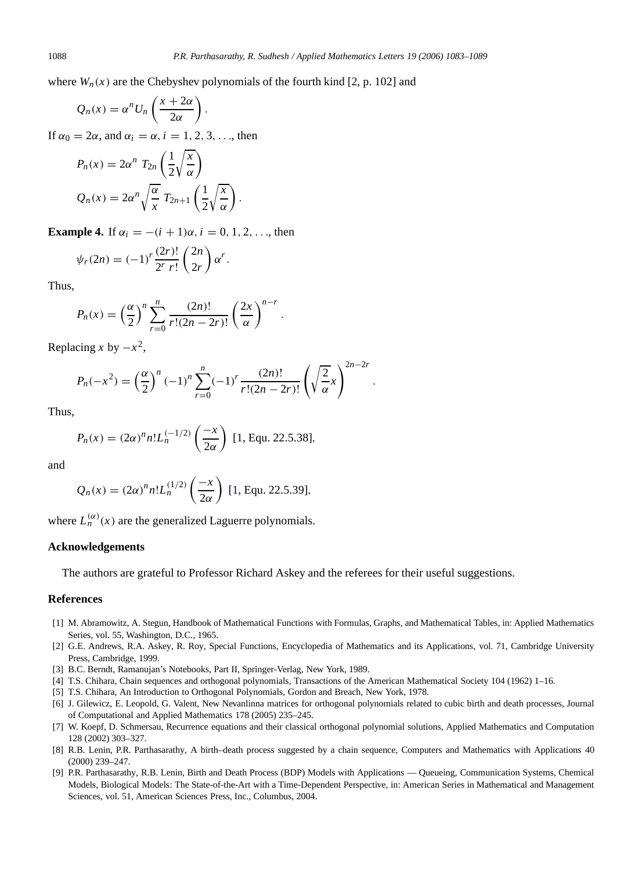where  $W_n(x)$  are the Chebyshev polynomials of the fourth kind [\[2,](#page-5-1) p. 102] and

$$
Q_n(x) = \alpha^n U_n \left( \frac{x + 2\alpha}{2\alpha} \right).
$$

If  $\alpha_0 = 2\alpha$ , and  $\alpha_i = \alpha$ ,  $i = 1, 2, 3, \ldots$ , then

$$
P_n(x) = 2\alpha^n T_{2n} \left(\frac{1}{2}\sqrt{\frac{x}{\alpha}}\right)
$$
  

$$
Q_n(x) = 2\alpha^n \sqrt{\frac{\alpha}{x}} T_{2n+1} \left(\frac{1}{2}\sqrt{\frac{x}{\alpha}}\right).
$$

**Example 4.** If  $\alpha_i = -(i + 1)\alpha$ ,  $i = 0, 1, 2, ...$ , then

$$
\psi_r(2n) = (-1)^r \frac{(2r)!}{2^r r!} \binom{2n}{2r} \alpha^r.
$$

Thus,

$$
P_n(x) = \left(\frac{\alpha}{2}\right)^n \sum_{r=0}^n \frac{(2n)!}{r!(2n-2r)!} \left(\frac{2x}{\alpha}\right)^{n-r}.
$$

Replacing *x* by  $-x^2$ ,

$$
P_n(-x^2) = \left(\frac{\alpha}{2}\right)^n (-1)^n \sum_{r=0}^n (-1)^r \frac{(2n)!}{r!(2n-2r)!} \left(\sqrt{\frac{2}{\alpha}}x\right)^{2n-2r}.
$$

Thus,

$$
P_n(x) = (2\alpha)^n n! L_n^{(-1/2)}\left(\frac{-x}{2\alpha}\right)
$$
 [1, Equ. 22.5.38],

and

$$
Q_n(x) = (2\alpha)^n n! L_n^{(1/2)}\left(\frac{-x}{2\alpha}\right)
$$
 [1, Equ. 22.5.39],

where  $L_n^{(\alpha)}(x)$  are the generalized Laguerre polynomials.

## **Acknowledgements**

The authors are grateful to Professor Richard Askey and the referees for their useful suggestions.

#### <span id="page-5-8"></span>**References**

- [1] M. Abramowitz, A. Stegun, Handbook of Mathematical Functions with Formulas, Graphs, and Mathematical Tables, in: Applied Mathematics Series, vol. 55, Washington, D.C., 1965.
- <span id="page-5-1"></span>[2] G.E. Andrews, R.A. Askey, R. Roy, Special Functions, Encyclopedia of Mathematics and its Applications, vol. 71, Cambridge University Press, Cambridge, 1999.
- [3] B.C. Berndt, Ramanujan's Notebooks, Part II, Springer-Verlag, New York, 1989.
- <span id="page-5-7"></span><span id="page-5-3"></span><span id="page-5-2"></span>[4] T.S. Chihara, Chain sequences and orthogonal polynomials, Transactions of the American Mathematical Society 104 (1962) 1–16.
- [5] T.S. Chihara, An Introduction to Orthogonal Polynomials, Gordon and Breach, New York, 1978.
- <span id="page-5-6"></span>[6] J. Gilewicz, E. Leopold, G. Valent, New Nevanlinna matrices for orthogonal polynomials related to cubic birth and death processes, Journal of Computational and Applied Mathematics 178 (2005) 235–245.
- <span id="page-5-0"></span>[7] W. Koepf, D. Schmersau, Recurrence equations and their classical orthogonal polynomial solutions, Applied Mathematics and Computation 128 (2002) 303–327.
- <span id="page-5-4"></span>[8] R.B. Lenin, P.R. Parthasarathy, A birth–death process suggested by a chain sequence, Computers and Mathematics with Applications 40 (2000) 239–247.
- <span id="page-5-5"></span>[9] P.R. Parthasarathy, R.B. Lenin, Birth and Death Process (BDP) Models with Applications — Queueing, Communication Systems, Chemical Models, Biological Models: The State-of-the-Art with a Time-Dependent Perspective, in: American Series in Mathematical and Management Sciences, vol. 51, American Sciences Press, Inc., Columbus, 2004.